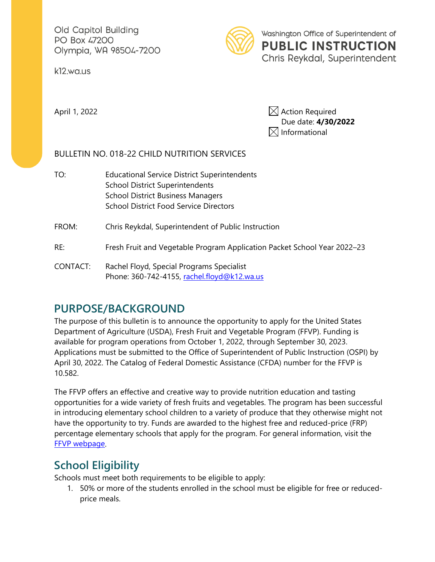Old Capitol Building PO Box 47200 Olympia, WA 98504-7200

k12.wa.us



Washington Office of Superintendent of **PUBLIC INSTRUCTION** Chris Reykdal, Superintendent

April 1, 2022  $\boxtimes$  Action Required Due date: **4/30/2022**  $\boxtimes$  Informational

#### BULLETIN NO. 018-22 CHILD NUTRITION SERVICES

TO: Educational Service District Superintendents School District Superintendents School District Business Managers School District Food Service Directors

FROM: Chris Reykdal, Superintendent of Public Instruction

- RE: Fresh Fruit and Vegetable Program Application Packet School Year 2022–23
- CONTACT: Rachel Floyd, Special Programs Specialist Phone: 360-742-4155, rachel.floyd@k12.wa.us

# **PURPOSE/BACKGROUND**

The purpose of this bulletin is to announce the opportunity to apply for the United States Department of Agriculture (USDA), Fresh Fruit and Vegetable Program (FFVP). Funding is available for program operations from October 1, 2022, through September 30, 2023. Applications must be submitted to the Office of Superintendent of Public Instruction (OSPI) by April 30, 2022. The Catalog of Federal Domestic Assistance (CFDA) number for the FFVP is 10.582.

The FFVP offers an effective and creative way to provide nutrition education and tasting opportunities for a wide variety of fresh fruits and vegetables. The program has been successful in introducing elementary school children to a variety of produce that they otherwise might not have the opportunity to try. Funds are awarded to the highest free and reduced-price (FRP) percentage elementary schools that apply for the program. For general information, visit the [FFVP webpage.](https://www.k12.wa.us/policy-funding/child-nutrition/school-meals/usda-fresh-fruit-vegetable-program)

# **School Eligibility**

Schools must meet both requirements to be eligible to apply:

1. 50% or more of the students enrolled in the school must be eligible for free or reducedprice meals.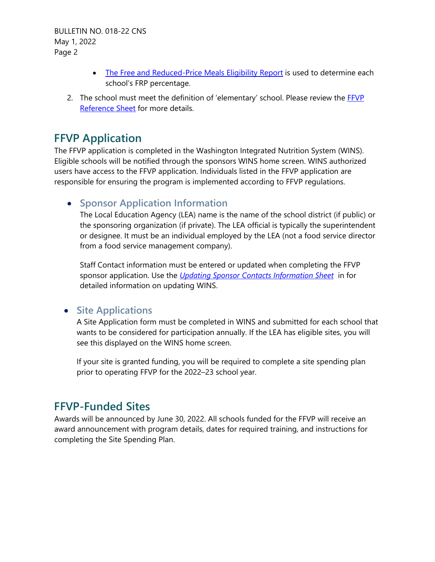BULLETIN NO. 018-22 CNS May 1, 2022 Page 2

- [The Free and Reduced-Price Meals Eligibility Report](https://www.k12.wa.us/policy-funding/child-nutrition/child-nutrition-program-reports) is used to determine each school's FRP percentage.
- 2. The school must meet the definition of 'elementary' school. Please review the [FFVP](https://www.k12.wa.us/sites/default/files/public/childnutrition/programs/ffvp/pubdocs/ffvpreferencesheet.pdf)  [Reference Sheet](https://www.k12.wa.us/sites/default/files/public/childnutrition/programs/ffvp/pubdocs/ffvpreferencesheet.pdf) for more details.

### **FFVP Application**

The FFVP application is completed in the Washington Integrated Nutrition System (WINS). Eligible schools will be notified through the sponsors WINS home screen. WINS authorized users have access to the FFVP application. Individuals listed in the FFVP application are responsible for ensuring the program is implemented according to FFVP regulations.

### • **Sponsor Application Information**

The Local Education Agency (LEA) name is the name of the school district (if public) or the sponsoring organization (if private). The LEA official is typically the superintendent or designee. It must be an individual employed by the LEA (not a food service director from a food service management company).

Staff Contact information must be entered or updated when completing the FFVP sponsor application. Use the *[Updating Sponsor Contacts Information Sheet](https://www.wa-wins.com/WINS/Views/Utility/Utility.aspx?Source=ShowDocument&Guid=c0cf7af2-afc0-49ad-882a-f4a2acb2f393)* in for detailed information on updating WINS.

#### • **Site Applications**

A Site Application form must be completed in WINS and submitted for each school that wants to be considered for participation annually. If the LEA has eligible sites, you will see this displayed on the WINS home screen.

If your site is granted funding, you will be required to complete a site spending plan prior to operating FFVP for the 2022–23 school year.

### **FFVP-Funded Sites**

Awards will be announced by June 30, 2022. All schools funded for the FFVP will receive an award announcement with program details, dates for required training, and instructions for completing the Site Spending Plan.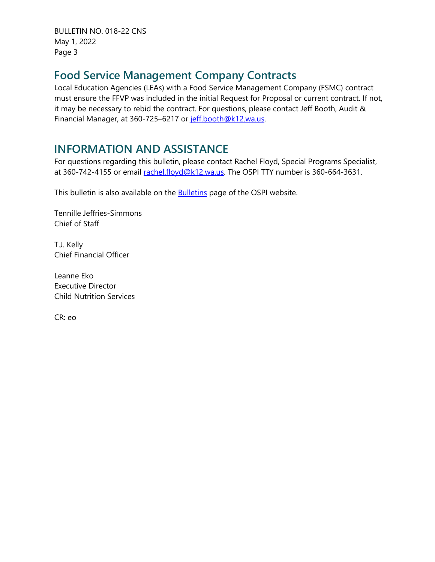BULLETIN NO. 018-22 CNS May 1, 2022 Page 3

## **Food Service Management Company Contracts**

Local Education Agencies (LEAs) with a Food Service Management Company (FSMC) contract must ensure the FFVP was included in the initial Request for Proposal or current contract. If not, it may be necessary to rebid the contract. For questions, please contact Jeff Booth, Audit & Financial Manager, at 360-725–6217 or [jeff.booth@k12.wa.us.](mailto:jeff.booth@k12.wa.us)

# **INFORMATION AND ASSISTANCE**

For questions regarding this bulletin, please contact Rachel Floyd, Special Programs Specialist, at 360-742-4155 or email [rachel.floyd@k12.wa.us.](mailto:rachel.floyd@k12.wa.us) The OSPI TTY number is 360-664-3631.

This bulletin is also available on the **Bulletins** page of the OSPI website.

Tennille Jeffries-Simmons Chief of Staff

T.J. Kelly Chief Financial Officer

Leanne Eko Executive Director Child Nutrition Services

CR: eo